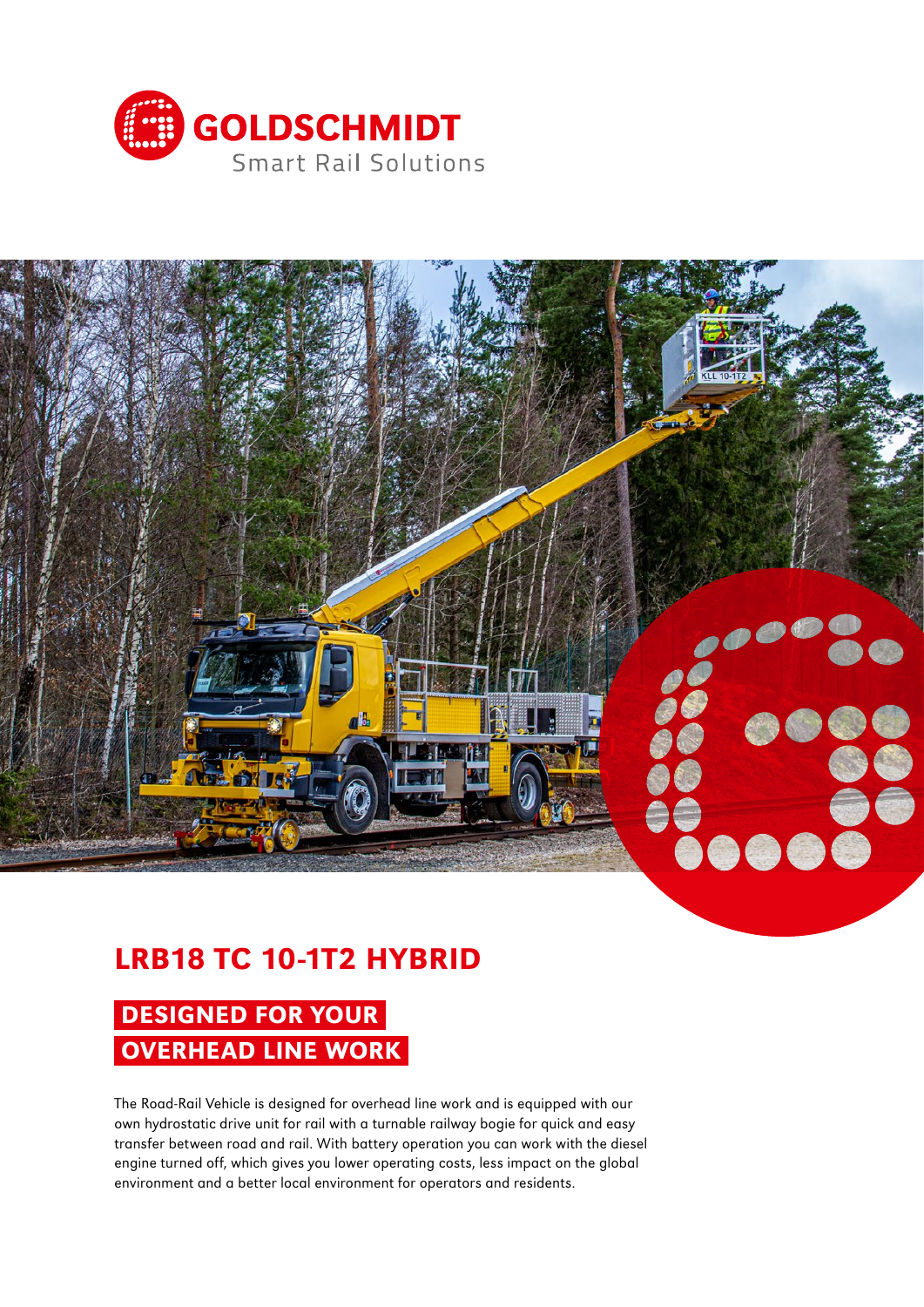



# LRB18 TC 10-1T2 HYBRID

# DESIGNED FOR YOUR OVERHEAD LINE WORK

The Road-Rail Vehicle is designed for overhead line work and is equipped with our own hydrostatic drive unit for rail with a turnable railway bogie for quick and easy transfer between road and rail. With battery operation you can work with the diesel engine turned off, which gives you lower operating costs, less impact on the global environment and a better local environment for operators and residents.